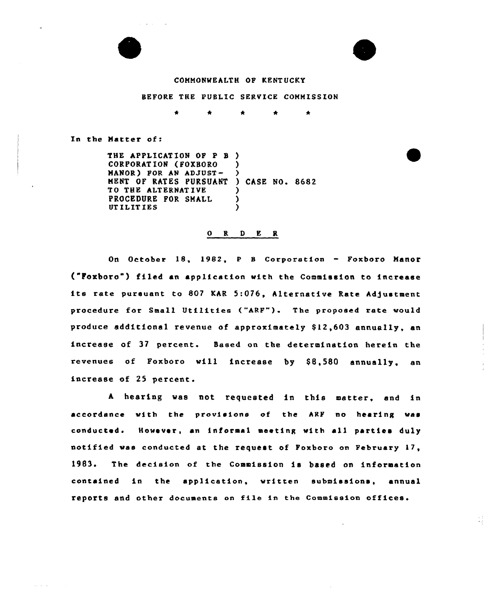



41

### COMMONWEALTH OF KENT UCKY

#### BEFORE THE PUBLIC SERVICE COMMISSION

 $\bullet$  $\bullet$  $\bullet$  $\bullet$ 

In the Matter of:

الطائف الفقا

THE APPLICATION OF P B ) CORPORATION (FOXBORO MANOR) FOR AN ADJUST-MENT OF RATES PURSUAN TO THE ALTERNATIVE PROCEDURE FOR SMALL UT ILIT IES ) ) ) CASE NO. 8682 ) ) )

## 0 <sup>R</sup> <sup>D</sup> E <sup>R</sup>

On October 18, 1982, <sup>P</sup> <sup>B</sup> corporstion — Foxboro Manor ("Poxboro") filed an application with the Commission to increase its rate pursuant to 807 KAR 5:076, Alternative Rate Adjustment procedure for Small Utilities ("ARF"). The proposed rate would produce additional revenue of approximately 812,6Q3 annually, an increase of 37 percent. Based on the determination herein the revenues of Foxboro will increase by \$8,580 annually, an increase of 25 percent.

<sup>A</sup> hearing was not requested in this matter, and in accordance with the provisions of the ARF no hearing was conducted. However, sn informal meeting with all parties duly notified was conducted at the request of Foxboro on February 17, 1983. The decision of the Commission is based on information contained in the application, written submissions, annual reports and other documents on file in the Commission offices.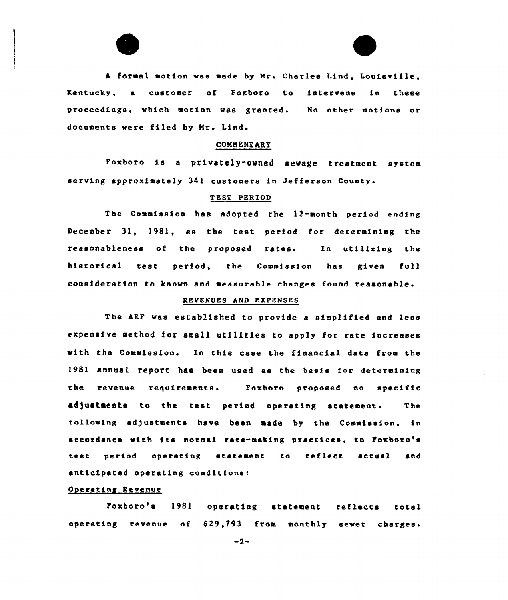

A formal motion was made by Mr. Charles Lind, Louisville. Kentucky, a customer of Foxboro to intervene in these proceedings, vhich motion was granted. No other motions or documents were filed by Mr. Lind.

#### COMME NT ART

Foxboro is <sup>a</sup> privately-owned sewage treatment system serving approximately 341 customers in Jefferson County.

## T EST PERIOD

The Commission has adopted the 12-month period ending December 31, 1981, as the test period for determining the reasonableness of the proposed rates. In utilising the historical test period, the Commission has given full consideration to known and aessurable changes found reasonable

## REVENUES hND EXPENSES

The ARF vas establiehed to provide a simplified and less expensive method for small utilities to apply for rate increases with the Commission. In this case the financial data from the 1981 annual report has been used as the basis for determining the revenue requirements. Foxboro proposed no specific adjustments to the test period operating statement. The following adjustments have been made by the Commission, in accordance with its normal rate-making practices, to Foxboro's test period operating statement to reflect actual and anticipated operating conditions:

## Operating Revenue

Foxboro's 1981 operating statement reflects total operating revenue of S29,793 from monthly sever charges.

 $-2-$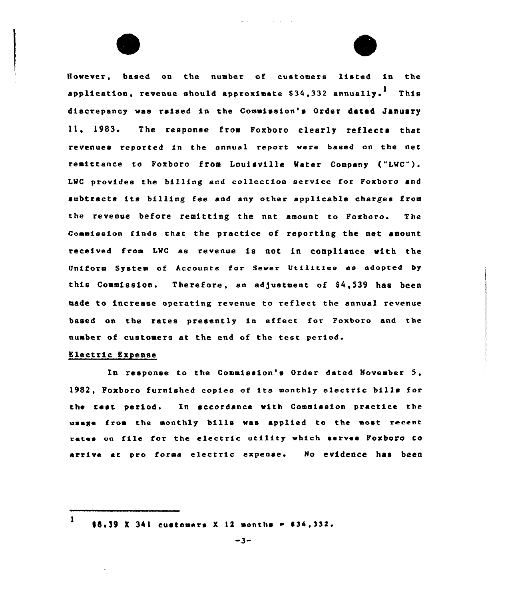However, based on the number of customers listed in the application, revenue should approximate  $$34.332$  annually.<sup>1</sup> This discrepancy was raised in the Coumission's Order dated January 11, 1983. The response from Foxboro clearly reflects that revenues reported in the annual report were based on the net remittance to Foxboro from Louisville Mater Company ("LMC") LMC provides the billing and collection service for Foxboro and subtracts its billing fee and any other applicable charges from the revenue before remitting the net amount to Foxboro. The Commission finds that the practice of reporting the net amount received froa LMc as revenue is not in compliance with the Uniform System of Accounts for Sewer Utilities as adopted by this Commission. Therefore, an adjustment of \$4,539 has been made to increase operating revenue to reflect the annual revenue based on the rates presently in effect for Foxboro and the nuaber of customers at the end of the test period.

# Electric Expense

In response to the Commission's Order dated Noveaber 5, 1982, Poxboro furnished copies of its monthly electric bills for the test period. In accordance with Commission practice the usage froa the aonthly bills was applied to the aost recent rates on file for the electric utility which serves Foxboro to arrive at pro forma electric expense. No evidence has been

<sup>1</sup>  $$6.39$  X 341 customers X 12 months  $~134,332.$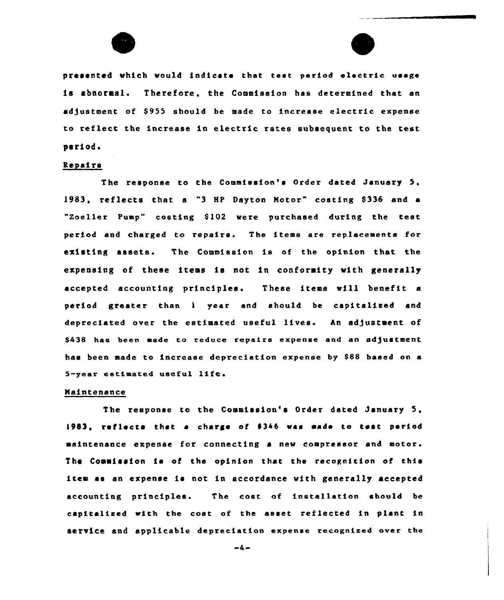

presented which vould indicate that test period electric usage is abnormal. Therefore, the Commission has determined that an adjustment of \$955 should be made to increase electric expense to reflect the increase in electric rates subsequent to the test period.

# Repairs

The response to the Commission's Order dated January 5, 1983, reflects that <sup>a</sup> "3 HP Dayton Hotor" costing 8336 and <sup>a</sup> "Zoeller Pump" costing \$102 were purchased during the test period and charged to repairs. The items are replacements for existing assets. The Commission is of the opinion that the expensing of these items is not in conformity with generally accepted accounting principles. These items will benefit a period greater than <sup>1</sup> year and should be capitalised and depreciated over the estimated useful lives. An adjustment of \$438 has been made to reduce repairs expense and an adjustment has been made to increase depreciation expense by \$88 based on a 5-year estimated useful life.

## Haintenance

The response to the Commission's Order dated January 5, 1983, reflects that a charge of \$346 was made to test period maintenance expense for connecting a new compressor end motor. The Commission is of the opinion that the recognition of this item as an expense is not in accordance with generally accepted accounting principles. The cost of installation should be cspitalieed with tbe cost of the asset reflected in plant in service and applicable depreciation expense recognized over the

 $-4-$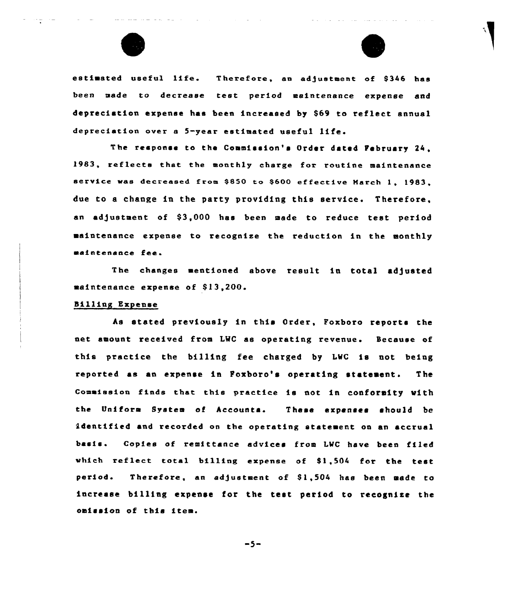



estimated useful life. Therefore, an adjustment of \$346 has been made to decrease test period maintenance expense and depreciation expense hae been increased by S69 to reflect annual depreciation over a 5-year estimated useful life.

The response to the Commission's Order dated February 24, 1983, reflects that the monthly charge for routine maintenance service was decreased from \$850 to \$600 effective March 1, 1983, due to a change in the party providing this service. Therefore, an adjustment of \$3,000 has been made to reduce test period aaintenance expense to recognise the reduction in the eonthly maintenance fee.

The changes mentioned above result in total adjusted maintenance expense of \$13,200.

## billing Expense

As stated previously in this Order, Foxboro reports the net amount received from LWC as operating revenue. Because of this practice the billing fee charged by LWC is not being reported as an expense in Foxboro's operating statement. The comaission finds that this practice is not in conforeity with the Uniform System of Accounta. . These expenses should be identified and recorded on the operating statement on an accrual basis. Copies of remittance sdvices from LWC have been filed which reflect total billing expense of  $$1,504$  for the test period. Therefore, an adjustment of \$1,504 has been made to increase billing expense for the test period to recognise the oaission of this itea.

 $-5-$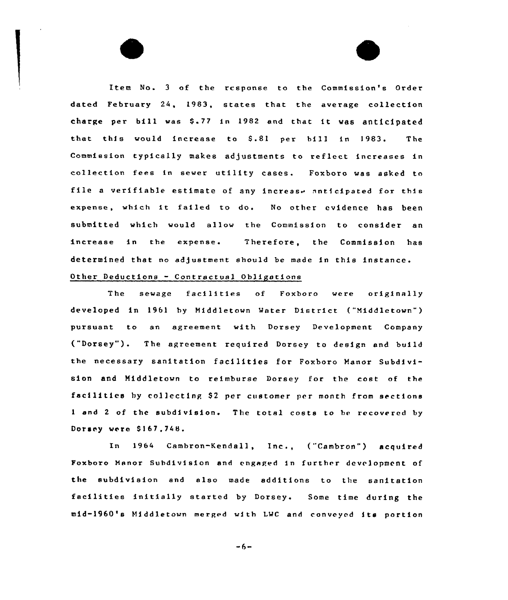Item No. <sup>3</sup> of the response to the Commission's Order dated February 24, 1983, states that the average collection charge per bill was 5-7I in 1982 and that it was anticipated that this would increase to 5.81 per bill in 1983. The Commission typically makes adjustments to reflect increases in collection fees in sewer utility cases. Foxboro was asked to file a verifiable estimate of any increase anticipated for this expense, which it failed to do. No other evidence has been submitted which would allow the Commission to consider an increase in the expense. Therefore, the Commission has determined that no adjustment should be made in this instance. Other Deductions - Contractual Obligations

The sewage facilities of Foxbozo were originally developed in 1961 by Middletown Water District ("Middletown") pursuant to an agreement with Dorsey Development Company ("Dorsey") <sup>~</sup> The agreement required Dorsey to design and build the necessary sanitation facilities for Foxboro Manor Subdivision and Middletown to reimburse Dorsey for the cost of the facilities by collecting \$2 per customer per month from sections <sup>1</sup> and <sup>2</sup> of the subdivision. The total costs to be recovered by Dorsey were \$167.748.

In 1964 Cambron-Kendall, Inc., ("Cambron") acquired Foxbozo Manor Subdivision and engaged in further devrlopment of the subdivision and also made additions to the sanitation facilities initially started by Dorsey. Some time during the mid-1960's Middletown merged with LWC and conveyed its portion

 $-6-$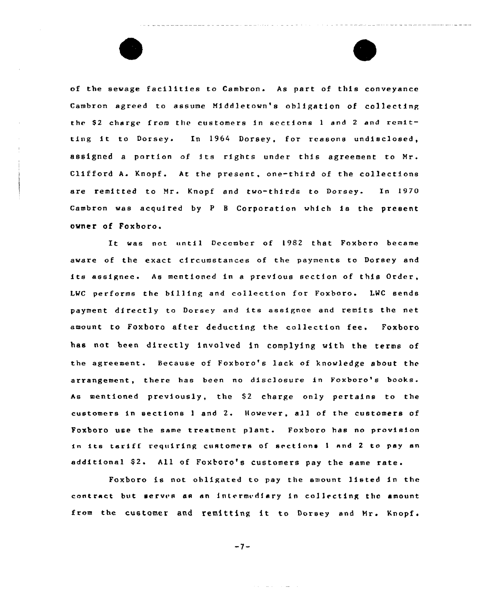of the sewage facilities to Cambron. As part of this conveyance Cambron agreed to assume Niddletown's obligation of collecting the \$2 charge from the customers in sections 1 and 2 and remitting it to Dorsey. In <sup>1964</sup> Dorsey, for reasons undisclosed, assigned a portion of its rights under this agreement to Mr. Clifford A. Knopf. At the present, one-third of the collections are remitted to Mr. Knopf and two-thirds to Dorsey. In 1970 Cambron was acquired by <sup>P</sup> <sup>B</sup> Corpotation which is the present owner of Foxboro.

It was not until December of 1982 that Foxboro became aware of the exact circumstances of the payments to Dorsey and its assignee. As mentioned in a previous section of this Order, LWC performs the billing and collection for Foxboro. LWC sends payment directly to Dorsey and its assignee and remits the net amount to Foxboro after deducting the collection fee. Foxboro has not been directly involved in complying with the terms of the agreement. Because of Foxboro's lack af knowledge about the arrangement, there has been no disclosure in Foxboro's books. As mentioned previously, the \$2 charge only pertains to the customers in sections <sup>1</sup> and 2. However, all of the customers of Foxboro use the same treatment plant. Foxboro has no provision in its tariff requiring customers of sections I and 2 to p<mark>ay a</mark>n tariff additional \$2. All of Foxboro's customers pay the same rate.

Foxboro is not obligated to pay the amount listed in the contract but serves as an intermediary in collecting the amount from the customer and remitting it to Dorsey and Mr. Knopf.

 $-7-$ 

and the same of the same of the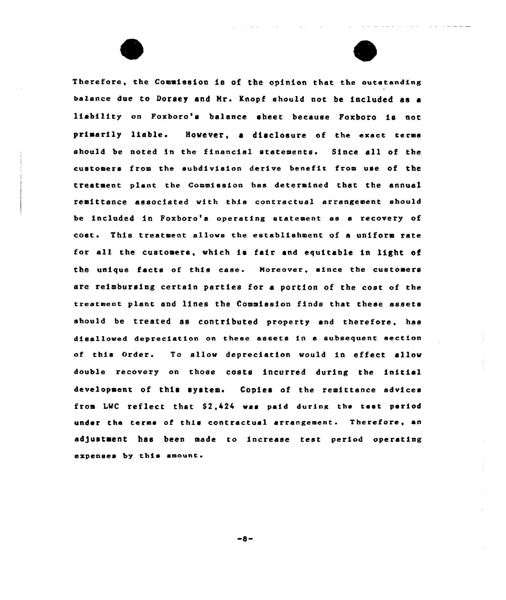Therefore, the Commission is of the opinion that the outstanding balance due to Dorsey and Mr. Knopf should not be included as a liability on Foxboro's balance sheet because Foxboro is not primarily liable. However, a disclosure of the exact terms should be noted in the financial statements. Since all of the customers from the subdivision derive benefit from use of the treatment plant the Commission has determined that the annual remittance associated vith this contractual arrangement should be included in Foxboro's operating statement es a recovery of cost. This treatment allows the establishment of <sup>a</sup> uniform rate fox all the customers, which is fair and equitable in light of the unique facts of this case. Moreover, since the customers are reimbursing cextain paxties for a portion of the cost of the treatment plant and lines the Commission finds that these assets should be treated as contributed property and therefore, has disallowed depreciation on these assets in a subsequent section of this Order. To allow depreciation would in effect allow double recovery on those costs incurred during the initial development of this system. Copies of the remittance advices from LWC reflect that 52,424 uas paid during the test period under the terms of this contractual arrangement. Therefore, an ad)ustment has been made to increase test period operating expenses by this amount.

and a straight and a straight

 $-8-$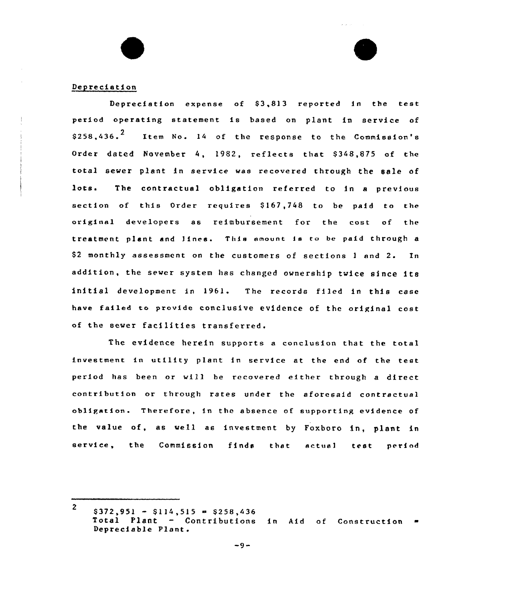# Depreciation

Depreciation expense of 83,813 reported in the test period operating statement is based on plant in service of \$258,436.<sup>2</sup> Item No. 14 of the response to the Commission's Order dated November 4, 1982, reflects that \$348,875 of the total sewer plant in service was recovered through the sale of lots. The contractual obligation referred to in a previous section of this Order requires \$167,748 to be paid to the original developers as reimbursement for the cost of the treatment plant and lines. This amount is to be paid through a \$2 monthly assessment on the customers of sections 1 and 2. In addition, the sewer system has changed ownership twice since its initial development in 1961. The records filed in this case have failed to provide conclusive evidence of the original cost of the sewer facilities transferred.

بالمناط

The evidence herein supports <sup>a</sup> conclusion that the total investment in utility plant in service at the end of the test. period has been or will be recovered either through a direct contribution or through rates under the aforesaid contractual obligation. Therefore, in the absence of supporting evidence of the value of, as well as investment by Foxboro in, plant in service, the Commission finds that sctue1 test period

<sup>2</sup>  $$372,951 - $114,515 = $258,436$ Total Plant - Contributions in Aid of Construction Depreciable Plant.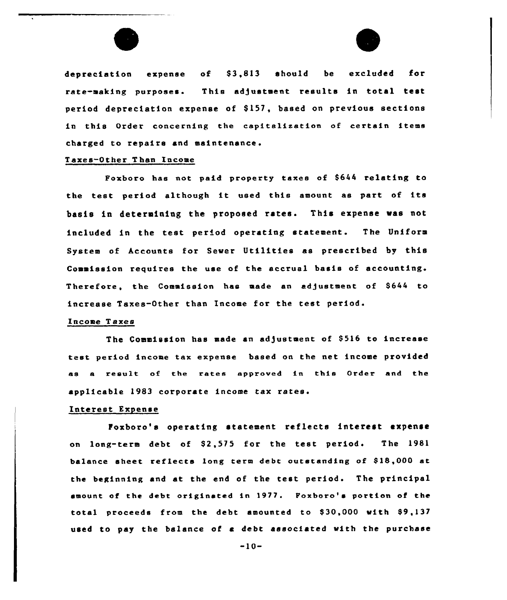



depreciation expense of \$3,813 should be excluded for rate-making purposes. This adjustment results in total test period depreciation expense of S157, based on previous sections in this Order concerning the capitalization of certain items charged to repairs and maintenance.

# Taxes-Other Than Income

Poxboro has not paid property taxes of 8644 relating to the test period although it used this amount as part of its basis in determining the proposed rates. This expense was not included in the test period operating statement. The Uniform System of Accounts for Sewer Utilities as prescribed by this Commission requires the use of the accrual basis of accounting. Therefore, the Commission has made an adjustment of S644 to increase Taxes-Other than Income for the test periods

#### Income T axes

The Commission has made an adjustment of 8516 to increase test period income tax expense based on the net income provided as a result of the rates approved in this Order and the applicable 1983 corporate income tax rates.

## Intetest Expense

Poxboro's operating statement reflects interest expense on long-term debt of 82,575 for the test periods The 1981 balance sheet reflects long term debt outstanding of \$18,000 at the beginning and at the end of the test period. The principal emount of the debt originated in 1977. Foxboro's portion of the total proceeds from the debt amounted to S30,000 with 89,137 used to pay the balance of a debt associated with the purchase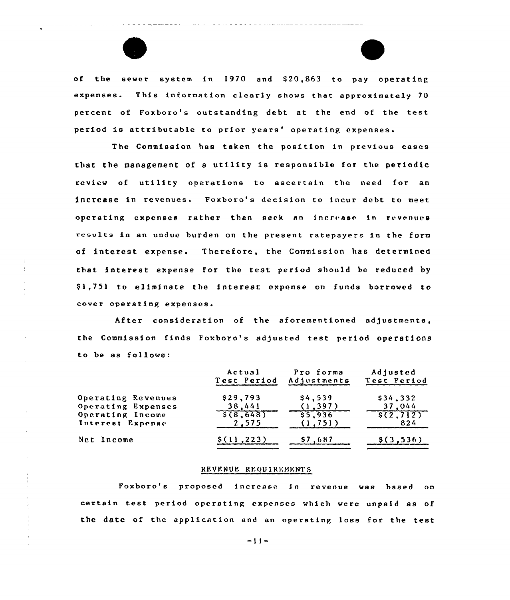



of the sewer system in 1970 and \$20,863 to pay operating expenses. This information clearly shows that approximetely 70 percent of Foxboro's outstanding debt at the end of the test period is attributable to prior years' operating expenses.

The Commission has taken the position in previous cases that the management of <sup>a</sup> utility is responsible for the periodic review of utility operations to ascertain the need for an increase in revenues. Foxboro's decision to incur debt to meet operating expenses rather than seek an increase in revenues results in an undue burden on the present ratepsyers in the form of interest expense. Therefore, the Commission has determined that interest expense for the test period should be reduced by \$ 1,751 to eliminate the interest expense on funds borrowed to cover operating expenses,

After consideration of the aforementioned adjustments, the Commission finds Foxboro's ad/usted test period operations to be as follows:

|                    | Actual<br>Test Period | Pro forma<br>Adjustments | Adjusted<br>Test Period |
|--------------------|-----------------------|--------------------------|-------------------------|
| Operating Revenues | \$29,793              | \$4,539                  | \$34,332                |
| Operating Expenses | 38,441                | (1, 397)                 | 37,044                  |
| Operating Income   | 5(8, 648)             | \$5,936                  | \$(2, 712)              |
| Interest Expense   | 2,575                 | (1.751)                  | 824                     |
| Net Income         | \$(11, 223)           | S7.687                   | \$(3.536)               |

#### REVENUE REQUIREMENTS

Foxboro's proposed increase fn revenue was based on certain test period operating expenses which werc unpaid as of the date of the application and an operating loss for the test

-11-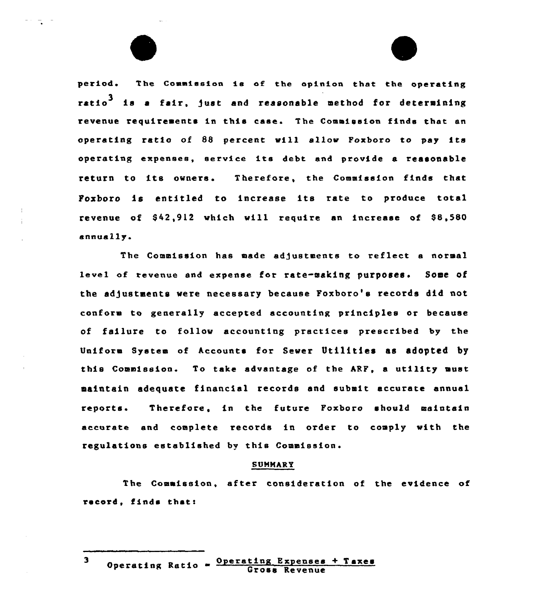period. The Commission is of the opinion that the operating ratio<sup>3</sup> is a fair. just and reasonable method for determining revenue requirements in this case. The Commission finds that an operating ratio of 88 percent will allow Foxboro to pay its operating expenses, service its debt and provide <sup>a</sup> reasonable return to its owners. Therefore, the Commission finds that Poxboro is entitled to increase its rate to produce total revenue of  $$42,912$  which will require an increase of  $$8,580$ annuaily.

The Commission has made adjustments to reflect a normal level of revenue and expense for rate-making purposes. Some of the adjustments were necessary because Foxboro's records did not conform to generally accepted accounting principles or because of failure to follow accounting practices prescribed by the Uniform System of Accounts for Sewer Utilities as adopted by this Coumission. To take advantage of the ARF, a utility must aaintain adequate financial records and subeit accurate annual reports Therefore, in the future Foxboro should maintain accurate and complete records in order to comply with the regulations established by this Commission.

#### **SUMMARY**

The Coeaission, after consideration of the evidence of record, finds thatt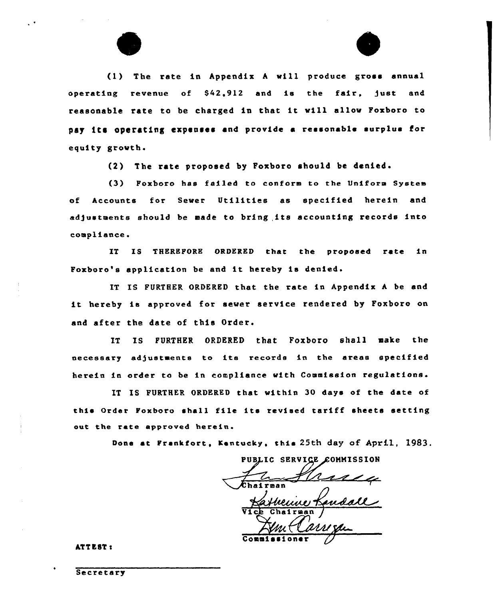



(1) The rate in Appendix A will produce gross annual operating revenue of S42,912 and is the fair, )ust and reasonable rate to be charged in that it will allow Foxboro to pay its operating expenses and provide <sup>a</sup> reasonable surplus for equity growth.

(2) The rate proposed by Foxboro should be denied.

(3) Poxboro has failed to conform to the Uniform System of Accounts for Sewer Utilities as specified herein and adgustaents should be smade to bring,its accounting records into compliance.

IT IS 'ZHEREPORE ORDERED that the proposed rate in Poxboro's application be and it hereby is denied.

IT IS FURTHER ORDERED that the rate in Appendix A be and it hereby is approved for sewer service rendered by Foxboro on and after the date of this Order.

IT IS FURTHER ORDERED that Foxboro shall aake the necessary adjustments to its records in the areas specified herein in order to be in compliance with Commission regulations.

IT IS FURTHER ORDERED that within 30 days of the date of this Order Foxboro shall file its revised tariff sheets setting out the rate approved herein.

Done at Frankfort, Kentucky, this 25th day of April, 1983.

PUBLIC SERVICE COMMISSION

non<br>Menne Landall Commissione

ATTEST <sup>s</sup>

**Secretary**